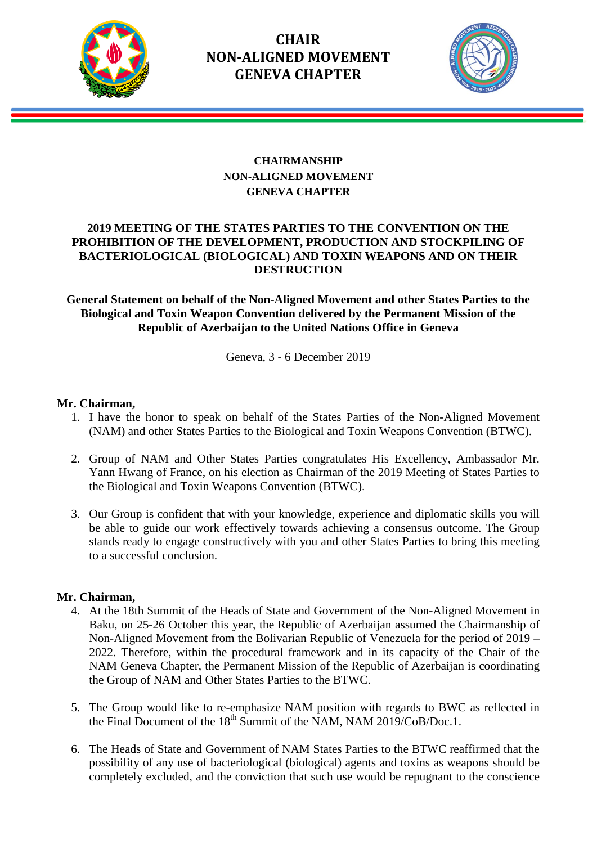

# **CHAIR NON-ALIGNED MOVEMENT GENEVA CHAPTER**



## **CHAIRMANSHIP NON-ALIGNED MOVEMENT GENEVA CHAPTER**

## **2019 MEETING OF THE STATES PARTIES TO THE CONVENTION ON THE PROHIBITION OF THE DEVELOPMENT, PRODUCTION AND STOCKPILING OF BACTERIOLOGICAL (BIOLOGICAL) AND TOXIN WEAPONS AND ON THEIR DESTRUCTION**

## **General Statement on behalf of the Non-Aligned Movement and other States Parties to the Biological and Toxin Weapon Convention delivered by the Permanent Mission of the Republic of Azerbaijan to the United Nations Office in Geneva**

Geneva, 3 - 6 December 2019

## **Mr. Chairman,**

- 1. I have the honor to speak on behalf of the States Parties of the Non-Aligned Movement (NAM) and other States Parties to the Biological and Toxin Weapons Convention (BTWC).
- 2. Group of NAM and Other States Parties congratulates His Excellency, Ambassador Mr. Yann Hwang of France, on his election as Chairman of the 2019 Meeting of States Parties to the Biological and Toxin Weapons Convention (BTWC).
- 3. Our Group is confident that with your knowledge, experience and diplomatic skills you will be able to guide our work effectively towards achieving a consensus outcome. The Group stands ready to engage constructively with you and other States Parties to bring this meeting to a successful conclusion.

### **Mr. Chairman,**

- 4. At the 18th Summit of the Heads of State and Government of the Non-Aligned Movement in Baku, on 25-26 October this year, the Republic of Azerbaijan assumed the Chairmanship of Non-Aligned Movement from the Bolivarian Republic of Venezuela for the period of 2019 – 2022. Therefore, within the procedural framework and in its capacity of the Chair of the NAM Geneva Chapter, the Permanent Mission of the Republic of Azerbaijan is coordinating the Group of NAM and Other States Parties to the BTWC.
- 5. The Group would like to re-emphasize NAM position with regards to BWC as reflected in the Final Document of the  $18<sup>th</sup>$  Summit of the NAM, NAM 2019/CoB/Doc.1.
- 6. The Heads of State and Government of NAM States Parties to the BTWC reaffirmed that the possibility of any use of bacteriological (biological) agents and toxins as weapons should be completely excluded, and the conviction that such use would be repugnant to the conscience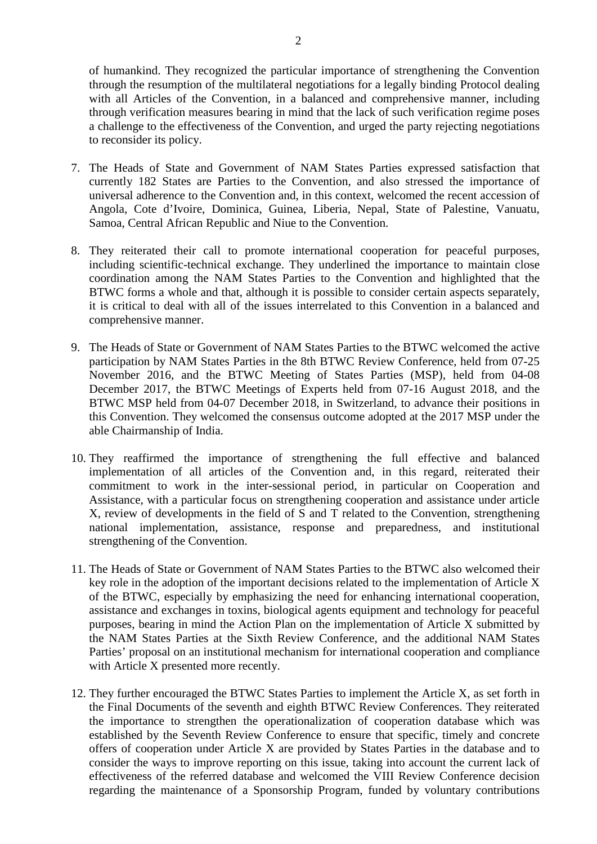of humankind. They recognized the particular importance of strengthening the Convention through the resumption of the multilateral negotiations for a legally binding Protocol dealing with all Articles of the Convention, in a balanced and comprehensive manner, including through verification measures bearing in mind that the lack of such verification regime poses a challenge to the effectiveness of the Convention, and urged the party rejecting negotiations to reconsider its policy.

- 7. The Heads of State and Government of NAM States Parties expressed satisfaction that currently 182 States are Parties to the Convention, and also stressed the importance of universal adherence to the Convention and, in this context, welcomed the recent accession of Angola, Cote d'Ivoire, Dominica, Guinea, Liberia, Nepal, State of Palestine, Vanuatu, Samoa, Central African Republic and Niue to the Convention.
- 8. They reiterated their call to promote international cooperation for peaceful purposes, including scientific-technical exchange. They underlined the importance to maintain close coordination among the NAM States Parties to the Convention and highlighted that the BTWC forms a whole and that, although it is possible to consider certain aspects separately, it is critical to deal with all of the issues interrelated to this Convention in a balanced and comprehensive manner.
- 9. The Heads of State or Government of NAM States Parties to the BTWC welcomed the active participation by NAM States Parties in the 8th BTWC Review Conference, held from 07-25 November 2016, and the BTWC Meeting of States Parties (MSP), held from 04-08 December 2017, the BTWC Meetings of Experts held from 07-16 August 2018, and the BTWC MSP held from 04-07 December 2018, in Switzerland, to advance their positions in this Convention. They welcomed the consensus outcome adopted at the 2017 MSP under the able Chairmanship of India.
- 10. They reaffirmed the importance of strengthening the full effective and balanced implementation of all articles of the Convention and, in this regard, reiterated their commitment to work in the inter-sessional period, in particular on Cooperation and Assistance, with a particular focus on strengthening cooperation and assistance under article X, review of developments in the field of S and T related to the Convention, strengthening national implementation, assistance, response and preparedness, and institutional strengthening of the Convention.
- 11. The Heads of State or Government of NAM States Parties to the BTWC also welcomed their key role in the adoption of the important decisions related to the implementation of Article X of the BTWC, especially by emphasizing the need for enhancing international cooperation, assistance and exchanges in toxins, biological agents equipment and technology for peaceful purposes, bearing in mind the Action Plan on the implementation of Article X submitted by the NAM States Parties at the Sixth Review Conference, and the additional NAM States Parties' proposal on an institutional mechanism for international cooperation and compliance with Article X presented more recently.
- 12. They further encouraged the BTWC States Parties to implement the Article X, as set forth in the Final Documents of the seventh and eighth BTWC Review Conferences. They reiterated the importance to strengthen the operationalization of cooperation database which was established by the Seventh Review Conference to ensure that specific, timely and concrete offers of cooperation under Article X are provided by States Parties in the database and to consider the ways to improve reporting on this issue, taking into account the current lack of effectiveness of the referred database and welcomed the VIII Review Conference decision regarding the maintenance of a Sponsorship Program, funded by voluntary contributions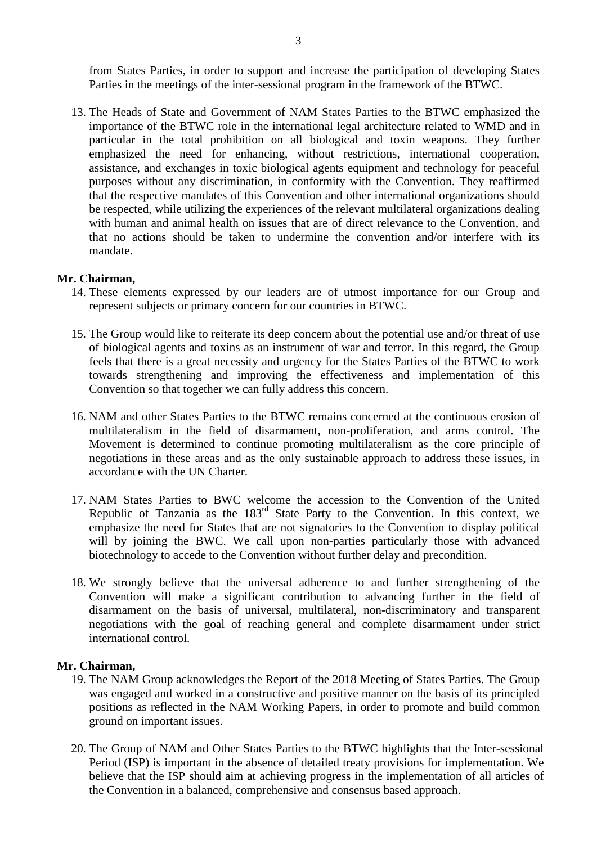from States Parties, in order to support and increase the participation of developing States Parties in the meetings of the inter-sessional program in the framework of the BTWC.

13. The Heads of State and Government of NAM States Parties to the BTWC emphasized the importance of the BTWC role in the international legal architecture related to WMD and in particular in the total prohibition on all biological and toxin weapons. They further emphasized the need for enhancing, without restrictions, international cooperation, assistance, and exchanges in toxic biological agents equipment and technology for peaceful purposes without any discrimination, in conformity with the Convention. They reaffirmed that the respective mandates of this Convention and other international organizations should be respected, while utilizing the experiences of the relevant multilateral organizations dealing with human and animal health on issues that are of direct relevance to the Convention, and that no actions should be taken to undermine the convention and/or interfere with its mandate.

#### **Mr. Chairman,**

- 14. These elements expressed by our leaders are of utmost importance for our Group and represent subjects or primary concern for our countries in BTWC.
- 15. The Group would like to reiterate its deep concern about the potential use and/or threat of use of biological agents and toxins as an instrument of war and terror. In this regard, the Group feels that there is a great necessity and urgency for the States Parties of the BTWC to work towards strengthening and improving the effectiveness and implementation of this Convention so that together we can fully address this concern.
- 16. NAM and other States Parties to the BTWC remains concerned at the continuous erosion of multilateralism in the field of disarmament, non-proliferation, and arms control. The Movement is determined to continue promoting multilateralism as the core principle of negotiations in these areas and as the only sustainable approach to address these issues, in accordance with the UN Charter.
- 17. NAM States Parties to BWC welcome the accession to the Convention of the United Republic of Tanzania as the 183<sup>rd</sup> State Party to the Convention. In this context, we emphasize the need for States that are not signatories to the Convention to display political will by joining the BWC. We call upon non-parties particularly those with advanced biotechnology to accede to the Convention without further delay and precondition.
- 18. We strongly believe that the universal adherence to and further strengthening of the Convention will make a significant contribution to advancing further in the field of disarmament on the basis of universal, multilateral, non-discriminatory and transparent negotiations with the goal of reaching general and complete disarmament under strict international control.

#### **Mr. Chairman,**

- 19. The NAM Group acknowledges the Report of the 2018 Meeting of States Parties. The Group was engaged and worked in a constructive and positive manner on the basis of its principled positions as reflected in the NAM Working Papers, in order to promote and build common ground on important issues.
- 20. The Group of NAM and Other States Parties to the BTWC highlights that the Inter-sessional Period (ISP) is important in the absence of detailed treaty provisions for implementation. We believe that the ISP should aim at achieving progress in the implementation of all articles of the Convention in a balanced, comprehensive and consensus based approach.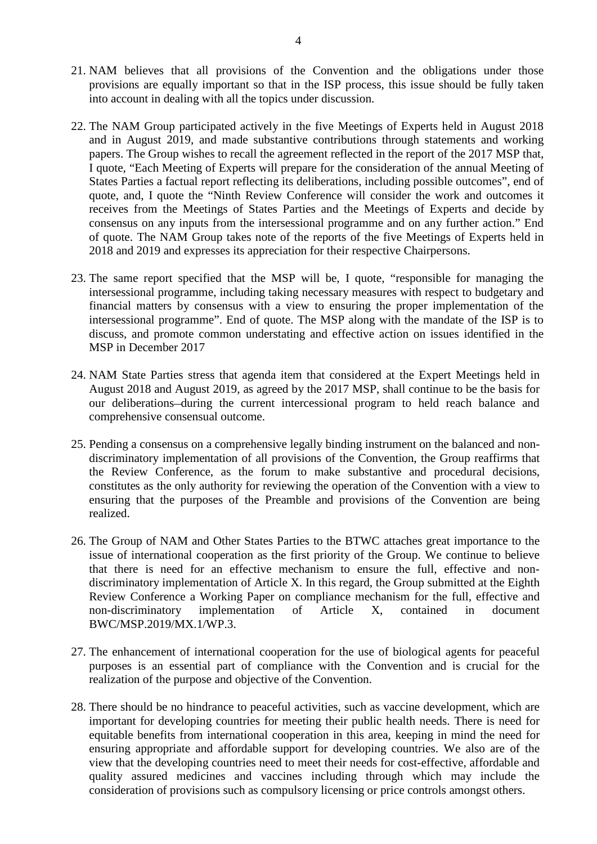- 21. NAM believes that all provisions of the Convention and the obligations under those provisions are equally important so that in the ISP process, this issue should be fully taken into account in dealing with all the topics under discussion.
- 22. The NAM Group participated actively in the five Meetings of Experts held in August 2018 and in August 2019, and made substantive contributions through statements and working papers. The Group wishes to recall the agreement reflected in the report of the 2017 MSP that, I quote, "Each Meeting of Experts will prepare for the consideration of the annual Meeting of States Parties a factual report reflecting its deliberations, including possible outcomes", end of quote, and, I quote the "Ninth Review Conference will consider the work and outcomes it receives from the Meetings of States Parties and the Meetings of Experts and decide by consensus on any inputs from the intersessional programme and on any further action." End of quote. The NAM Group takes note of the reports of the five Meetings of Experts held in 2018 and 2019 and expresses its appreciation for their respective Chairpersons.
- 23. The same report specified that the MSP will be, I quote, "responsible for managing the intersessional programme, including taking necessary measures with respect to budgetary and financial matters by consensus with a view to ensuring the proper implementation of the intersessional programme". End of quote. The MSP along with the mandate of the ISP is to discuss, and promote common understating and effective action on issues identified in the MSP in December 2017
- 24. NAM State Parties stress that agenda item that considered at the Expert Meetings held in August 2018 and August 2019, as agreed by the 2017 MSP, shall continue to be the basis for our deliberations-during the current intercessional program to held reach balance and comprehensive consensual outcome.
- 25. Pending a consensus on a comprehensive legally binding instrument on the balanced and nondiscriminatory implementation of all provisions of the Convention, the Group reaffirms that the Review Conference, as the forum to make substantive and procedural decisions, constitutes as the only authority for reviewing the operation of the Convention with a view to ensuring that the purposes of the Preamble and provisions of the Convention are being realized.
- 26. The Group of NAM and Other States Parties to the BTWC attaches great importance to the issue of international cooperation as the first priority of the Group. We continue to believe that there is need for an effective mechanism to ensure the full, effective and nondiscriminatory implementation of Article X. In this regard, the Group submitted at the Eighth Review Conference a Working Paper on compliance mechanism for the full, effective and non-discriminatory implementation of Article X. contained in document non-discriminatory implementation of Article X, contained in document BWC/MSP.2019/MX.1/WP.3.
- 27. The enhancement of international cooperation for the use of biological agents for peaceful purposes is an essential part of compliance with the Convention and is crucial for the realization of the purpose and objective of the Convention.
- 28. There should be no hindrance to peaceful activities, such as vaccine development, which are important for developing countries for meeting their public health needs. There is need for equitable benefits from international cooperation in this area, keeping in mind the need for ensuring appropriate and affordable support for developing countries. We also are of the view that the developing countries need to meet their needs for cost-effective, affordable and quality assured medicines and vaccines including through which may include the consideration of provisions such as compulsory licensing or price controls amongst others.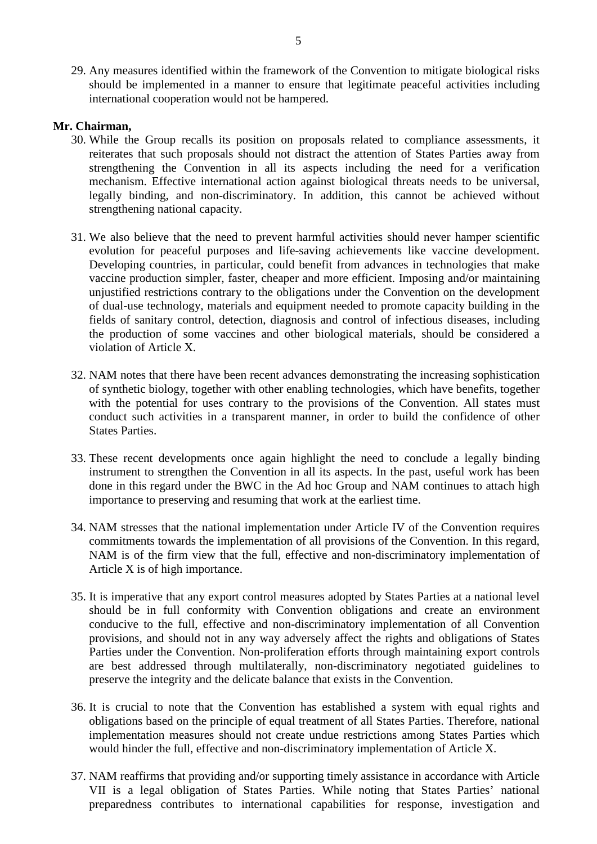29. Any measures identified within the framework of the Convention to mitigate biological risks should be implemented in a manner to ensure that legitimate peaceful activities including international cooperation would not be hampered.

#### **Mr. Chairman,**

- 30. While the Group recalls its position on proposals related to compliance assessments, it reiterates that such proposals should not distract the attention of States Parties away from strengthening the Convention in all its aspects including the need for a verification mechanism. Effective international action against biological threats needs to be universal, legally binding, and non-discriminatory. In addition, this cannot be achieved without strengthening national capacity.
- 31. We also believe that the need to prevent harmful activities should never hamper scientific evolution for peaceful purposes and life-saving achievements like vaccine development. Developing countries, in particular, could benefit from advances in technologies that make vaccine production simpler, faster, cheaper and more efficient. Imposing and/or maintaining unjustified restrictions contrary to the obligations under the Convention on the development of dual-use technology, materials and equipment needed to promote capacity building in the fields of sanitary control, detection, diagnosis and control of infectious diseases, including the production of some vaccines and other biological materials, should be considered a violation of Article X.
- 32. NAM notes that there have been recent advances demonstrating the increasing sophistication of synthetic biology, together with other enabling technologies, which have benefits, together with the potential for uses contrary to the provisions of the Convention. All states must conduct such activities in a transparent manner, in order to build the confidence of other States Parties.
- 33. These recent developments once again highlight the need to conclude a legally binding instrument to strengthen the Convention in all its aspects. In the past, useful work has been done in this regard under the BWC in the Ad hoc Group and NAM continues to attach high importance to preserving and resuming that work at the earliest time.
- 34. NAM stresses that the national implementation under Article IV of the Convention requires commitments towards the implementation of all provisions of the Convention. In this regard, NAM is of the firm view that the full, effective and non-discriminatory implementation of Article X is of high importance.
- 35. It is imperative that any export control measures adopted by States Parties at a national level should be in full conformity with Convention obligations and create an environment conducive to the full, effective and non-discriminatory implementation of all Convention provisions, and should not in any way adversely affect the rights and obligations of States Parties under the Convention. Non-proliferation efforts through maintaining export controls are best addressed through multilaterally, non-discriminatory negotiated guidelines to preserve the integrity and the delicate balance that exists in the Convention.
- 36. It is crucial to note that the Convention has established a system with equal rights and obligations based on the principle of equal treatment of all States Parties. Therefore, national implementation measures should not create undue restrictions among States Parties which would hinder the full, effective and non-discriminatory implementation of Article X.
- 37. NAM reaffirms that providing and/or supporting timely assistance in accordance with Article VII is a legal obligation of States Parties. While noting that States Parties' national preparedness contributes to international capabilities for response, investigation and